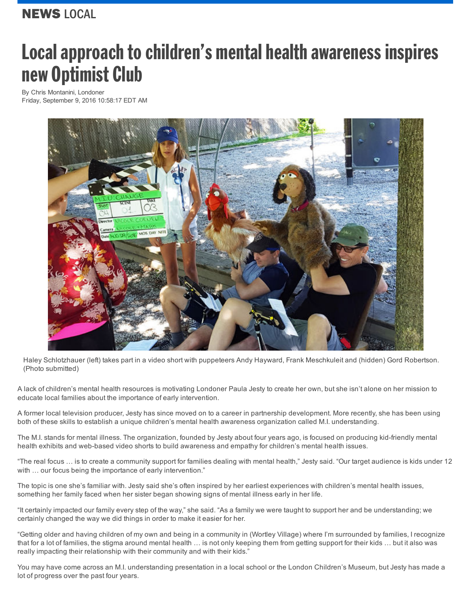## Local approach to children's mental health awareness inspires new Optimist Club

By Chris [Montanini,](http://www.thelondoner.ca/author/chris-montanini) Londoner Friday, September 9, 2016 10:58:17 EDT AM



Haley Schlotzhauer (left) takes part in a video short with puppeteers Andy Hayward, Frank Meschkuleit and (hidden) Gord Robertson. (Photo submitted)

A lack of children's mental health resources is motivating Londoner Paula Jesty to create her own, but she isn't alone on her mission to educate local families about the importance of early intervention.

A former local television producer, Jesty has since moved on to a career in partnership development. More recently, she has been using both of these skills to establish a unique children's mental health awareness organization called M.I. understanding.

The M.I. stands for mental illness. The organization, founded by Jesty about four years ago, is focused on producing kid-friendly mental health exhibits and web-based video shorts to build awareness and empathy for children's mental health issues.

"The real focus … is to create a community support for families dealing with mental health," Jesty said. "Our target audience is kids under 12 with ... our focus being the importance of early intervention."

The topic is one she's familiar with. Jesty said she's often inspired by her earliest experiences with children's mental health issues, something her family faced when her sister began showing signs of mental illness early in her life.

"It certainly impacted our family every step of the way," she said. "As a family we were taught to support her and be understanding; we certainly changed the way we did things in order to make it easier for her.

"Getting older and having children of my own and being in a community in (Wortley Village) where I'm surrounded by families, I recognize that for a lot of families, the stigma around mental health … is not only keeping them from getting support for their kids … but it also was really impacting their relationship with their community and with their kids."

You may have come across an M.I. understanding presentation in a local school or the London Children's Museum, but Jesty has made a lot of progress over the past four years.